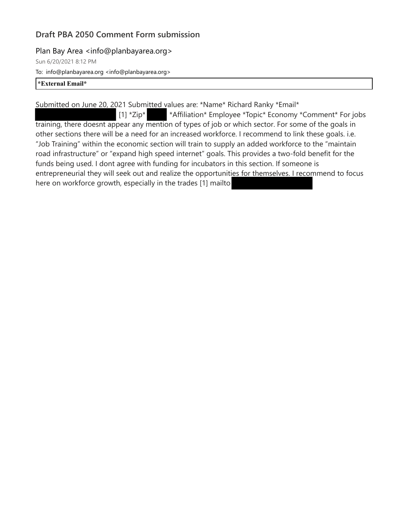### Plan Bay Area <info@planbayarea.org>

Sun 6/20/2021 8:12 PM

To: info@planbayarea.org <info@planbayarea.org>

#### **\*External Email\***

Submitted on June 20, 2021 Submitted values are: \*Name\* Richard Ranky \*Email\*

 [1] \*Zip\* \*Affiliation\* Employee \*Topic\* Economy \*Comment\* For jobs training, there doesnt appear any mention of types of job or which sector. For some of the goals in other sections there will be a need for an increased workforce. I recommend to link these goals. i.e. "Job Training" within the economic section will train to supply an added workforce to the "maintain road infrastructure" or "expand high speed internet" goals. This provides a two-fold benefit for the funds being used. I dont agree with funding for incubators in this section. If someone is entrepreneurial they will seek out and realize the opportunities for themselves. I recommend to focus here on workforce growth, especially in the trades [1] mailto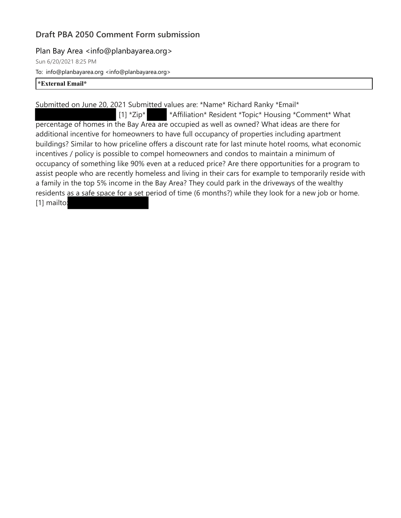### Plan Bay Area <info@planbayarea.org>

Sun 6/20/2021 8:25 PM

To: info@planbayarea.org <info@planbayarea.org>

#### **\*External Email\***

Submitted on June 20, 2021 Submitted values are: \*Name\* Richard Ranky \*Email\*

[1] \*Zip\* \*Affiliation\* Resident \*Topic\* Housing \*Comment\* What percentage of homes in the Bay Area are occupied as well as owned? What ideas are there for additional incentive for homeowners to have full occupancy of properties including apartment buildings? Similar to how priceline offers a discount rate for last minute hotel rooms, what economic incentives / policy is possible to compel homeowners and condos to maintain a minimum of occupancy of something like 90% even at a reduced price? Are there opportunities for a program to assist people who are recently homeless and living in their cars for example to temporarily reside with a family in the top 5% income in the Bay Area? They could park in the driveways of the wealthy residents as a safe space for a set period of time (6 months?) while they look for a new job or home. [1] mailto: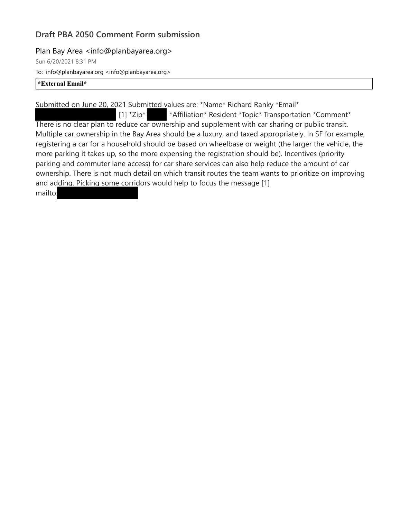### Plan Bay Area <info@planbayarea.org>

Sun 6/20/2021 8:31 PM

To: info@planbayarea.org <info@planbayarea.org>

#### **\*External Email\***

Submitted on June 20, 2021 Submitted values are: \*Name\* Richard Ranky \*Email\*

[1] \*Zip\* \*Affiliation\* Resident \*Topic\* Transportation \*Comment\* There is no clear plan to reduce car ownership and supplement with car sharing or public transit. Multiple car ownership in the Bay Area should be a luxury, and taxed appropriately. In SF for example, registering a car for a household should be based on wheelbase or weight (the larger the vehicle, the more parking it takes up, so the more expensing the registration should be). Incentives (priority parking and commuter lane access) for car share services can also help reduce the amount of car ownership. There is not much detail on which transit routes the team wants to prioritize on improving and adding. Picking some corridors would help to focus the message [1] mailto: